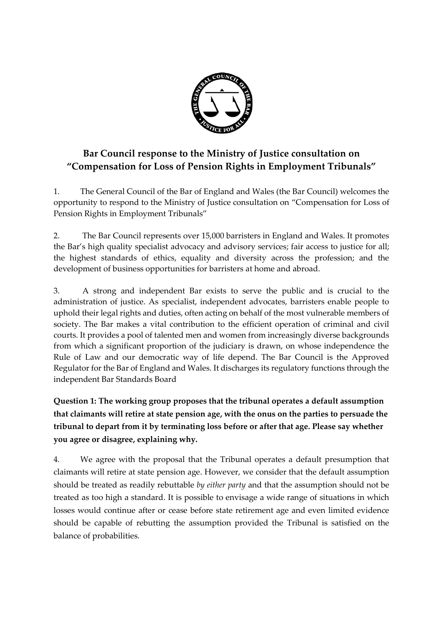

# **Bar Council response to the Ministry of Justice consultation on "Compensation for Loss of Pension Rights in Employment Tribunals"**

1. The General Council of the Bar of England and Wales (the Bar Council) welcomes the opportunity to respond to the Ministry of Justice consultation on "Compensation for Loss of Pension Rights in Employment Tribunals"

2. The Bar Council represents over 15,000 barristers in England and Wales. It promotes the Bar's high quality specialist advocacy and advisory services; fair access to justice for all; the highest standards of ethics, equality and diversity across the profession; and the development of business opportunities for barristers at home and abroad.

3. A strong and independent Bar exists to serve the public and is crucial to the administration of justice. As specialist, independent advocates, barristers enable people to uphold their legal rights and duties, often acting on behalf of the most vulnerable members of society. The Bar makes a vital contribution to the efficient operation of criminal and civil courts. It provides a pool of talented men and women from increasingly diverse backgrounds from which a significant proportion of the judiciary is drawn, on whose independence the Rule of Law and our democratic way of life depend. The Bar Council is the Approved Regulator for the Bar of England and Wales. It discharges its regulatory functions through the independent Bar Standards Board

**Question 1: The working group proposes that the tribunal operates a default assumption that claimants will retire at state pension age, with the onus on the parties to persuade the tribunal to depart from it by terminating loss before or after that age. Please say whether you agree or disagree, explaining why.** 

4. We agree with the proposal that the Tribunal operates a default presumption that claimants will retire at state pension age. However, we consider that the default assumption should be treated as readily rebuttable *by either party* and that the assumption should not be treated as too high a standard. It is possible to envisage a wide range of situations in which losses would continue after or cease before state retirement age and even limited evidence should be capable of rebutting the assumption provided the Tribunal is satisfied on the balance of probabilities.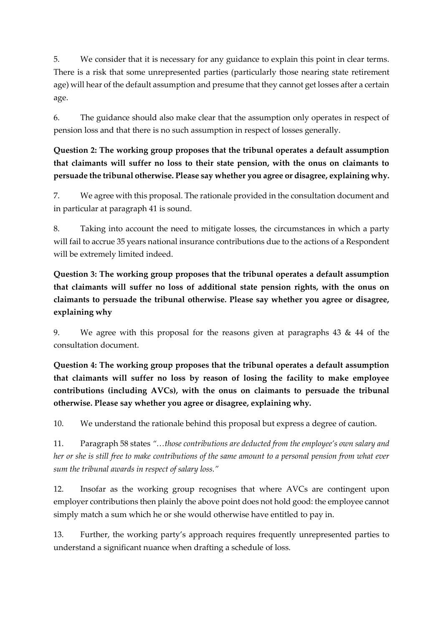5. We consider that it is necessary for any guidance to explain this point in clear terms. There is a risk that some unrepresented parties (particularly those nearing state retirement age) will hear of the default assumption and presume that they cannot get losses after a certain age.

6. The guidance should also make clear that the assumption only operates in respect of pension loss and that there is no such assumption in respect of losses generally.

**Question 2: The working group proposes that the tribunal operates a default assumption that claimants will suffer no loss to their state pension, with the onus on claimants to persuade the tribunal otherwise. Please say whether you agree or disagree, explaining why.** 

7. We agree with this proposal. The rationale provided in the consultation document and in particular at paragraph 41 is sound.

8. Taking into account the need to mitigate losses, the circumstances in which a party will fail to accrue 35 years national insurance contributions due to the actions of a Respondent will be extremely limited indeed.

**Question 3: The working group proposes that the tribunal operates a default assumption that claimants will suffer no loss of additional state pension rights, with the onus on claimants to persuade the tribunal otherwise. Please say whether you agree or disagree, explaining why**

9. We agree with this proposal for the reasons given at paragraphs 43 & 44 of the consultation document.

**Question 4: The working group proposes that the tribunal operates a default assumption that claimants will suffer no loss by reason of losing the facility to make employee contributions (including AVCs), with the onus on claimants to persuade the tribunal otherwise. Please say whether you agree or disagree, explaining why.** 

10. We understand the rationale behind this proposal but express a degree of caution.

11. Paragraph 58 states *"…those contributions are deducted from the employee's own salary and her or she is still free to make contributions of the same amount to a personal pension from what ever sum the tribunal awards in respect of salary loss."*

12. Insofar as the working group recognises that where AVCs are contingent upon employer contributions then plainly the above point does not hold good: the employee cannot simply match a sum which he or she would otherwise have entitled to pay in.

13. Further, the working party's approach requires frequently unrepresented parties to understand a significant nuance when drafting a schedule of loss.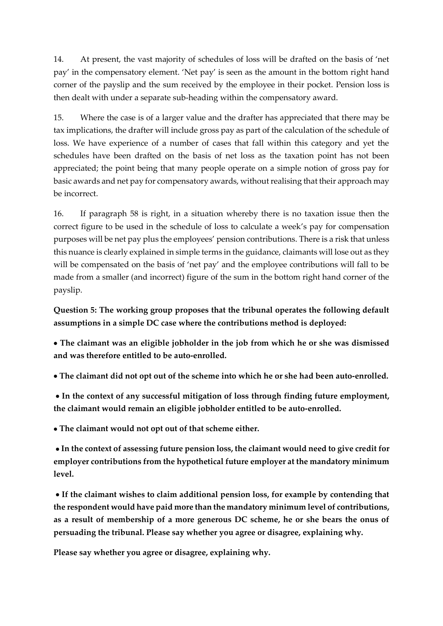14. At present, the vast majority of schedules of loss will be drafted on the basis of 'net pay' in the compensatory element. 'Net pay' is seen as the amount in the bottom right hand corner of the payslip and the sum received by the employee in their pocket. Pension loss is then dealt with under a separate sub-heading within the compensatory award.

15. Where the case is of a larger value and the drafter has appreciated that there may be tax implications, the drafter will include gross pay as part of the calculation of the schedule of loss. We have experience of a number of cases that fall within this category and yet the schedules have been drafted on the basis of net loss as the taxation point has not been appreciated; the point being that many people operate on a simple notion of gross pay for basic awards and net pay for compensatory awards, without realising that their approach may be incorrect.

16. If paragraph 58 is right, in a situation whereby there is no taxation issue then the correct figure to be used in the schedule of loss to calculate a week's pay for compensation purposes will be net pay plus the employees' pension contributions. There is a risk that unless this nuance is clearly explained in simple terms in the guidance, claimants will lose out as they will be compensated on the basis of 'net pay' and the employee contributions will fall to be made from a smaller (and incorrect) figure of the sum in the bottom right hand corner of the payslip.

**Question 5: The working group proposes that the tribunal operates the following default assumptions in a simple DC case where the contributions method is deployed:** 

 **The claimant was an eligible jobholder in the job from which he or she was dismissed and was therefore entitled to be auto-enrolled.** 

**The claimant did not opt out of the scheme into which he or she had been auto-enrolled.**

 **In the context of any successful mitigation of loss through finding future employment, the claimant would remain an eligible jobholder entitled to be auto-enrolled.**

**The claimant would not opt out of that scheme either.**

 **In the context of assessing future pension loss, the claimant would need to give credit for employer contributions from the hypothetical future employer at the mandatory minimum level.**

 **If the claimant wishes to claim additional pension loss, for example by contending that the respondent would have paid more than the mandatory minimum level of contributions, as a result of membership of a more generous DC scheme, he or she bears the onus of persuading the tribunal. Please say whether you agree or disagree, explaining why.**

**Please say whether you agree or disagree, explaining why.**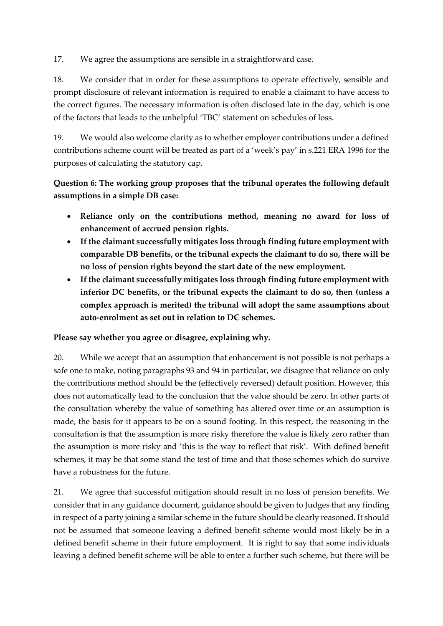17. We agree the assumptions are sensible in a straightforward case.

18. We consider that in order for these assumptions to operate effectively, sensible and prompt disclosure of relevant information is required to enable a claimant to have access to the correct figures. The necessary information is often disclosed late in the day, which is one of the factors that leads to the unhelpful 'TBC' statement on schedules of loss.

19. We would also welcome clarity as to whether employer contributions under a defined contributions scheme count will be treated as part of a 'week's pay' in s.221 ERA 1996 for the purposes of calculating the statutory cap.

**Question 6: The working group proposes that the tribunal operates the following default assumptions in a simple DB case:** 

- **Reliance only on the contributions method, meaning no award for loss of enhancement of accrued pension rights.**
- **If the claimant successfully mitigates loss through finding future employment with comparable DB benefits, or the tribunal expects the claimant to do so, there will be no loss of pension rights beyond the start date of the new employment.**
- **If the claimant successfully mitigates loss through finding future employment with inferior DC benefits, or the tribunal expects the claimant to do so, then (unless a complex approach is merited) the tribunal will adopt the same assumptions about auto-enrolment as set out in relation to DC schemes.**

#### **Please say whether you agree or disagree, explaining why.**

20. While we accept that an assumption that enhancement is not possible is not perhaps a safe one to make, noting paragraphs 93 and 94 in particular, we disagree that reliance on only the contributions method should be the (effectively reversed) default position. However, this does not automatically lead to the conclusion that the value should be zero. In other parts of the consultation whereby the value of something has altered over time or an assumption is made, the basis for it appears to be on a sound footing. In this respect, the reasoning in the consultation is that the assumption is more risky therefore the value is likely zero rather than the assumption is more risky and 'this is the way to reflect that risk'. With defined benefit schemes, it may be that some stand the test of time and that those schemes which do survive have a robustness for the future.

21. We agree that successful mitigation should result in no loss of pension benefits. We consider that in any guidance document, guidance should be given to Judges that any finding in respect of a party joining a similar scheme in the future should be clearly reasoned. It should not be assumed that someone leaving a defined benefit scheme would most likely be in a defined benefit scheme in their future employment. It is right to say that some individuals leaving a defined benefit scheme will be able to enter a further such scheme, but there will be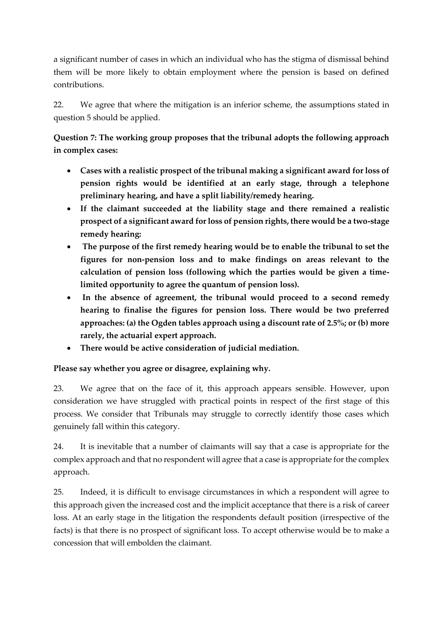a significant number of cases in which an individual who has the stigma of dismissal behind them will be more likely to obtain employment where the pension is based on defined contributions.

22. We agree that where the mitigation is an inferior scheme, the assumptions stated in question 5 should be applied.

**Question 7: The working group proposes that the tribunal adopts the following approach in complex cases:** 

- **Cases with a realistic prospect of the tribunal making a significant award for loss of pension rights would be identified at an early stage, through a telephone preliminary hearing, and have a split liability/remedy hearing.**
- **If the claimant succeeded at the liability stage and there remained a realistic prospect of a significant award for loss of pension rights, there would be a two-stage remedy hearing:**
- **The purpose of the first remedy hearing would be to enable the tribunal to set the figures for non-pension loss and to make findings on areas relevant to the calculation of pension loss (following which the parties would be given a timelimited opportunity to agree the quantum of pension loss).**
- **In the absence of agreement, the tribunal would proceed to a second remedy hearing to finalise the figures for pension loss. There would be two preferred approaches: (a) the Ogden tables approach using a discount rate of 2.5%; or (b) more rarely, the actuarial expert approach.**
- **There would be active consideration of judicial mediation.**

**Please say whether you agree or disagree, explaining why.** 

23. We agree that on the face of it, this approach appears sensible. However, upon consideration we have struggled with practical points in respect of the first stage of this process. We consider that Tribunals may struggle to correctly identify those cases which genuinely fall within this category.

24. It is inevitable that a number of claimants will say that a case is appropriate for the complex approach and that no respondent will agree that a case is appropriate for the complex approach.

25. Indeed, it is difficult to envisage circumstances in which a respondent will agree to this approach given the increased cost and the implicit acceptance that there is a risk of career loss. At an early stage in the litigation the respondents default position (irrespective of the facts) is that there is no prospect of significant loss. To accept otherwise would be to make a concession that will embolden the claimant.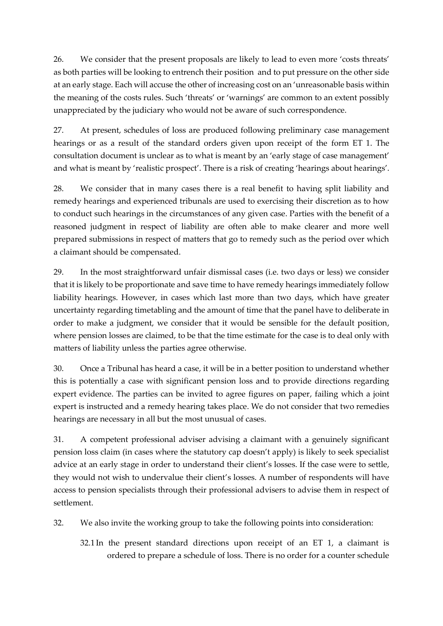26. We consider that the present proposals are likely to lead to even more 'costs threats' as both parties will be looking to entrench their position and to put pressure on the other side at an early stage. Each will accuse the other of increasing cost on an 'unreasonable basis within the meaning of the costs rules. Such 'threats' or 'warnings' are common to an extent possibly unappreciated by the judiciary who would not be aware of such correspondence.

27. At present, schedules of loss are produced following preliminary case management hearings or as a result of the standard orders given upon receipt of the form ET 1. The consultation document is unclear as to what is meant by an 'early stage of case management' and what is meant by 'realistic prospect'. There is a risk of creating 'hearings about hearings'.

28. We consider that in many cases there is a real benefit to having split liability and remedy hearings and experienced tribunals are used to exercising their discretion as to how to conduct such hearings in the circumstances of any given case. Parties with the benefit of a reasoned judgment in respect of liability are often able to make clearer and more well prepared submissions in respect of matters that go to remedy such as the period over which a claimant should be compensated.

29. In the most straightforward unfair dismissal cases (i.e. two days or less) we consider that it is likely to be proportionate and save time to have remedy hearings immediately follow liability hearings. However, in cases which last more than two days, which have greater uncertainty regarding timetabling and the amount of time that the panel have to deliberate in order to make a judgment, we consider that it would be sensible for the default position, where pension losses are claimed, to be that the time estimate for the case is to deal only with matters of liability unless the parties agree otherwise.

30. Once a Tribunal has heard a case, it will be in a better position to understand whether this is potentially a case with significant pension loss and to provide directions regarding expert evidence. The parties can be invited to agree figures on paper, failing which a joint expert is instructed and a remedy hearing takes place. We do not consider that two remedies hearings are necessary in all but the most unusual of cases.

31. A competent professional adviser advising a claimant with a genuinely significant pension loss claim (in cases where the statutory cap doesn't apply) is likely to seek specialist advice at an early stage in order to understand their client's losses. If the case were to settle, they would not wish to undervalue their client's losses. A number of respondents will have access to pension specialists through their professional advisers to advise them in respect of settlement.

32. We also invite the working group to take the following points into consideration:

32.1 In the present standard directions upon receipt of an ET 1, a claimant is ordered to prepare a schedule of loss. There is no order for a counter schedule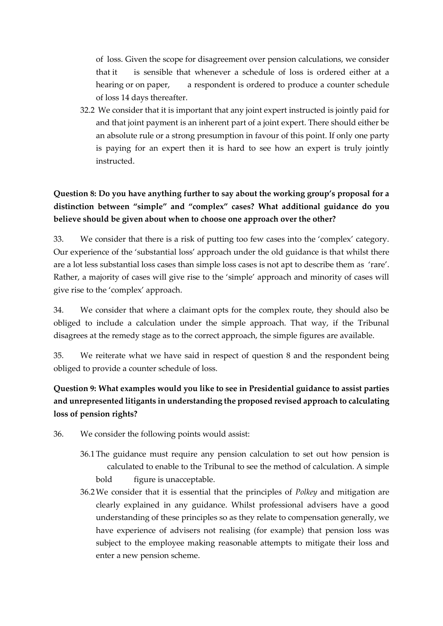of loss. Given the scope for disagreement over pension calculations, we consider that it is sensible that whenever a schedule of loss is ordered either at a hearing or on paper, a respondent is ordered to produce a counter schedule of loss 14 days thereafter.

32.2 We consider that it is important that any joint expert instructed is jointly paid for and that joint payment is an inherent part of a joint expert. There should either be an absolute rule or a strong presumption in favour of this point. If only one party is paying for an expert then it is hard to see how an expert is truly jointly instructed.

## **Question 8: Do you have anything further to say about the working group's proposal for a distinction between "simple" and "complex" cases? What additional guidance do you believe should be given about when to choose one approach over the other?**

33. We consider that there is a risk of putting too few cases into the 'complex' category. Our experience of the 'substantial loss' approach under the old guidance is that whilst there are a lot less substantial loss cases than simple loss cases is not apt to describe them as 'rare'. Rather, a majority of cases will give rise to the 'simple' approach and minority of cases will give rise to the 'complex' approach.

34. We consider that where a claimant opts for the complex route, they should also be obliged to include a calculation under the simple approach. That way, if the Tribunal disagrees at the remedy stage as to the correct approach, the simple figures are available.

35. We reiterate what we have said in respect of question 8 and the respondent being obliged to provide a counter schedule of loss.

## **Question 9: What examples would you like to see in Presidential guidance to assist parties and unrepresented litigants in understanding the proposed revised approach to calculating loss of pension rights?**

- 36. We consider the following points would assist:
	- 36.1The guidance must require any pension calculation to set out how pension is calculated to enable to the Tribunal to see the method of calculation. A simple bold figure is unacceptable.
	- 36.2We consider that it is essential that the principles of *Polkey* and mitigation are clearly explained in any guidance. Whilst professional advisers have a good understanding of these principles so as they relate to compensation generally, we have experience of advisers not realising (for example) that pension loss was subject to the employee making reasonable attempts to mitigate their loss and enter a new pension scheme.